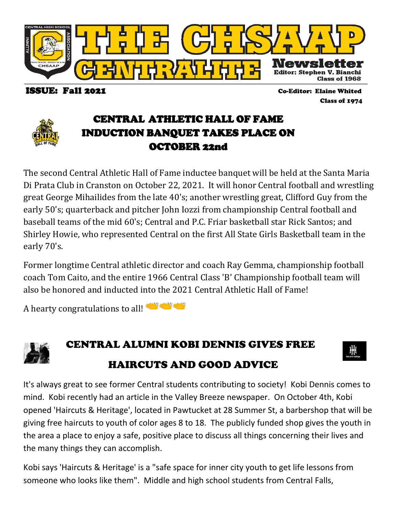

ISSUE: Fall 2021 Co-Editor: Elaine Whited

Class of 1974

### CENTRAL ATHLETIC HALL OF FAME INDUCTION BANQUET TAKES PLACE ON OCTOBER 22nd

The second Central Athletic Hall of Fame inductee banquet will be held at the Santa Maria Di Prata Club in Cranston on October 22, 2021. It will honor Central football and wrestling great George Mihailides from the late 40's; another wrestling great, Clifford Guy from the early 50's; quarterback and pitcher John Iozzi from championship Central football and baseball teams of the mid 60's; Central and P.C. Friar basketball star Rick Santos; and Shirley Howie, who represented Central on the first All State Girls Basketball team in the early 70's.

Former longtime Central athletic director and coach Ray Gemma, championship football coach Tom Caito, and the entire 1966 Central Class 'B' Championship football team will also be honored and inducted into the 2021 Central Athletic Hall of Fame!

A hearty congratulations to all!



# CENTRAL ALU[MNI](http://www.pngall.com/clapping-hands-png/download/41917) [KO](http://www.pngall.com/clapping-hands-png/download/41917)BI DENNIS GIVES FREE HAIRC[UTS AN](http://www.pngall.com/clapping-hands-png/download/41917)D GOOD ADVICE



It's always great to see former Central students contributing to society! Kobi Dennis comes to mind. Kobi recently had an article in the Valley Breeze newspaper. On October 4th, Kobi opened 'Haircuts & Heritage', located in Pawtucket at 28 Summer St, a barbershop that will be giving free haircuts to youth of color ages 8 to 18. The publicly funded shop gives the youth in the area a place to enjoy a safe, positive place to discuss all things concerning their lives and the many things they can accomplish.

Kobi says 'Haircuts & Heritage' is a "safe space for inner city youth to get life lessons from someone who looks like them". Middle and high school students from Central Falls,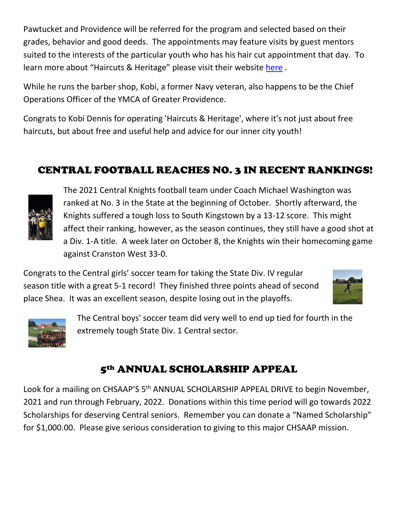Pawtucket and Providence will be referred for the program and selected based on their grades, behavior and good deeds. The appointments may feature visits by guest mentors suited to the interests of the particular youth who has his hair cut appointment that day. To learn more about "Haircuts & Heritage" please visit their website [here](https://www.morethanacutri.com/) .

While he runs the barber shop, Kobi, a former Navy veteran, also happens to be the Chief Operations Officer of the YMCA of Greater Providence.

Congrats to Kobi Dennis for operating 'Haircuts & Heritage', where it's not just about free haircuts, but about free and useful help and advice for our inner city youth!

## CENTRAL FOOTBALL REACHES NO. 3 IN RECENT RANKINGS!



The 2021 Central Knights football team under Coach Michael Washington was ranked at No. 3 in the State at the beginning of October. Shortly afterward, the Knights suffered a tough loss to South Kingstown by a 13-12 score. This might affect their ranking, however, as the season continues, they still have a good shot at a Div. 1-A title. A week later on October 8, the Knights win their homecoming game against Cranston West 33-0.

Congrats to the Central girls' soccer team for taking the State Div. IV regular season title with a great 5-1 record! They finished three points ahead of second place Shea. It was an excellent season, despite losing out in the playoffs.





The Central boys' soccer team did very well to end up tied for fourth in the extremely tough State Div. 1 Central sector.

#### 5th ANNUAL SCHOLARSHIP APPEAL

Look for a mailing on CHSAAP'S 5<sup>th</sup> ANNUAL SCHOLARSHIP APPEAL DRIVE to begin November, 2021 and run through February, 2022. Donations within this time period will go towards 2022 Scholarships for deserving Central seniors. Remember you can donate a "Named Scholarship" for \$1,000.00. Please give serious consideration to giving to this major CHSAAP mission.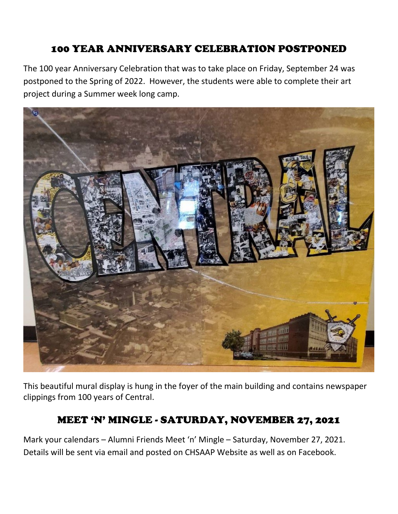## 100 YEAR ANNIVERSARY CELEBRATION POSTPONED

The 100 year Anniversary Celebration that was to take place on Friday, September 24 was postponed to the Spring of 2022. However, the students were able to complete their art project during a Summer week long camp.



This beautiful mural display is hung in the foyer of the main building and contains newspaper clippings from 100 years of Central.

#### MEET 'N' MINGLE - SATURDAY, NOVEMBER 27, 2021

Mark your calendars – Alumni Friends Meet 'n' Mingle – Saturday, November 27, 2021. Details will be sent via email and posted on CHSAAP Website as well as on Facebook.